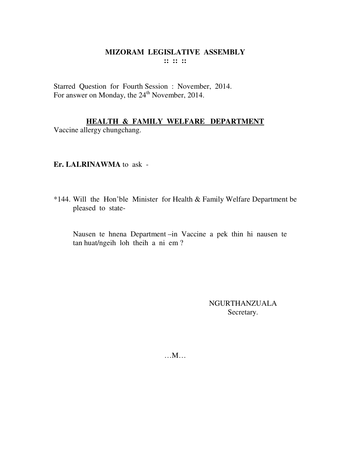Starred Question for Fourth Session : November, 2014.<br>For answer on Monday, the 24<sup>th</sup> November, 2014.

# **HEALTH & FAMILY WELFARE DEPARTMENT**

Vaccine allergy chungchang.

## Er. LALRINAWMA to ask -

\*144. Will the Hon'ble Minister for Health & Family Welfare Department be pleased to state-

Nausen te hnena Department -in Vaccine a pek thin hi nausen te tan huat/ngeih loh theih a ni em?

> **NGURTHANZUALA** Secretary.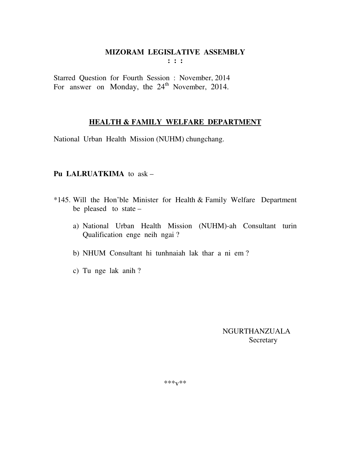Starred Question for Fourth Session : November, 2014 For answer on Monday, the 24<sup>th</sup> November, 2014.

## **HEALTH & FAMILY WELFARE DEPARTMENT**

National Urban Health Mission (NUHM) chungchang.

## Pu LALRUATKIMA to ask -

- \*145. Will the Hon'ble Minister for Health & Family Welfare Department be pleased to state  $$ 
	- a) National Urban Health Mission (NUHM)-ah Consultant turin Qualification enge neih ngai?
	- b) NHUM Consultant hi tunhnaiah lak thar a ni em?
	- c) Tu nge lak anih?

**NGURTHANZUALA** Secretary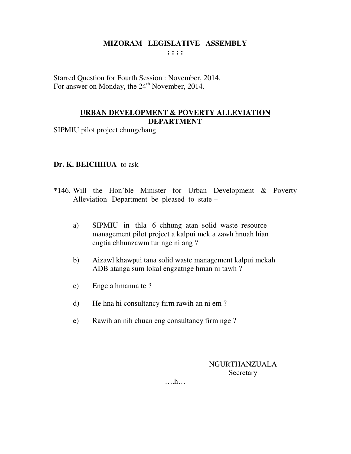Starred Question for Fourth Session : November, 2014. For answer on Monday, the 24<sup>th</sup> November, 2014.

## **URBAN DEVELOPMENT & POVERTY ALLEVIATION DEPARTMENT**

SIPMIU pilot project chungchang.

# **Dr. K. BEICHHUA** to ask –

- \*146. Will the Hon'ble Minister for Urban Development & Poverty Alleviation Department be pleased to state –
	- a) SIPMIU in thla 6 chhung atan solid waste resource management pilot project a kalpui mek a zawh hnuah hian engtia chhunzawm tur nge ni ang ?
	- b) Aizawl khawpui tana solid waste management kalpui mekah ADB atanga sum lokal engzatnge hman ni tawh ?
	- c) Enge a hmanna te ?
	- d) He hna hi consultancy firm rawih an ni em ?
	- e) Rawih an nih chuan eng consultancy firm nge ?

# NGURTHANZUALA **Secretary**

….h…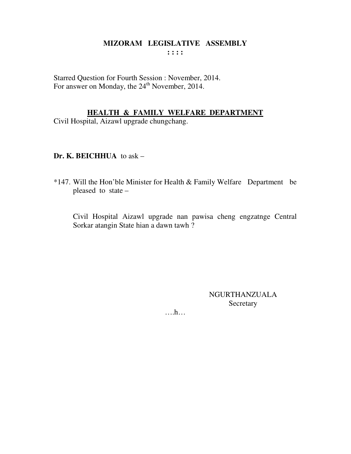Starred Question for Fourth Session : November, 2014. For answer on Monday, the 24<sup>th</sup> November, 2014.

# **HEALTH & FAMILY WELFARE DEPARTMENT**

Civil Hospital, Aizawl upgrade chungchang.

## Dr. K. BEICHHUA to ask  $-$

\*147. Will the Hon'ble Minister for Health & Family Welfare Department be pleased to state -

Civil Hospital Aizawl upgrade nan pawisa cheng engzatnge Central Sorkar atangin State hian a dawn tawh?

> **NGURTHANZUALA** Secretary

 $\dots$ ...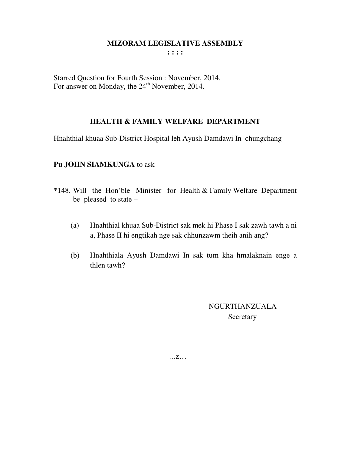**: : : :** 

Starred Question for Fourth Session : November, 2014. For answer on Monday, the 24<sup>th</sup> November, 2014.

# **HEALTH & FAMILY WELFARE DEPARTMENT**

Hnahthial khuaa Sub-District Hospital leh Ayush Damdawi In chungchang

## **Pu JOHN SIAMKUNGA** to ask –

- \*148. Will the Hon'ble Minister for Health & Family Welfare Department be pleased to state –
	- (a) Hnahthial khuaa Sub-District sak mek hi Phase I sak zawh tawh a ni a, Phase II hi engtikah nge sak chhunzawm theih anih ang?
	- (b) Hnahthiala Ayush Damdawi In sak tum kha hmalaknain enge a thlen tawh?

 NGURTHANZUALA **Secretary** 

...z…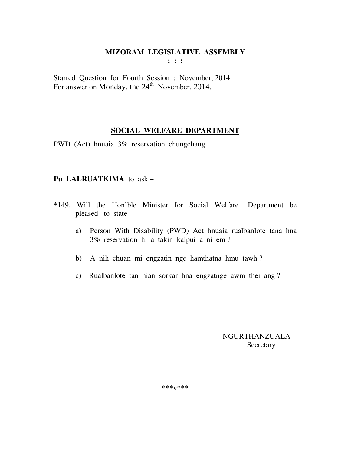Starred Question for Fourth Session : November, 2014 For answer on Monday, the  $24<sup>th</sup>$  November, 2014.

## **SOCIAL WELFARE DEPARTMENT**

PWD (Act) hnuaia 3% reservation chungchang.

## **Pu LALRUATKIMA** to ask –

- \*149. Will the Hon'ble Minister for Social Welfare Department be pleased to state –
	- a) Person With Disability (PWD) Act hnuaia rualbanlote tana hna 3% reservation hi a takin kalpui a ni em ?
	- b) A nih chuan mi engzatin nge hamthatna hmu tawh ?
	- c) Rualbanlote tan hian sorkar hna engzatnge awm thei ang ?

 NGURTHANZUALA **Secretary**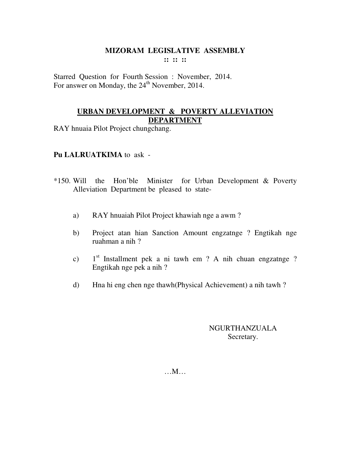Starred Question for Fourth Session : November, 2014. For answer on Monday, the 24<sup>th</sup> November, 2014.

## **URBAN DEVELOPMENT & POVERTY ALLEVIATION DEPARTMENT**

RAY hnuaia Pilot Project chungchang.

## **Pu LALRUATKIMA** to ask -

- \*150. Will the Hon'ble Minister for Urban Development & Poverty Alleviation Department be pleased to state
	- a) RAY hnuaiah Pilot Project khawiah nge a awm ?
	- b) Project atan hian Sanction Amount engzatnge ? Engtikah nge ruahman a nih ?
	- c) 1<sup>st</sup> Installment pek a ni tawh em ? A nih chuan engzatnge ? Engtikah nge pek a nih ?
	- d) Hna hi eng chen nge thawh(Physical Achievement) a nih tawh ?

## NGURTHANZUALA Secretary.

…M…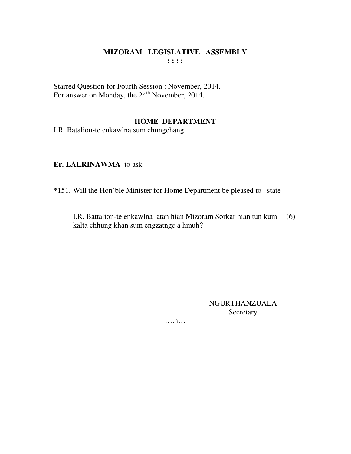Starred Question for Fourth Session : November, 2014. For answer on Monday, the 24<sup>th</sup> November, 2014.

## **HOME DEPARTMENT**

I.R. Batalion-te enkawlna sum chungchang.

**Er. LALRINAWMA** to ask –

\*151. Will the Hon'ble Minister for Home Department be pleased to state –

 I.R. Battalion-te enkawlna atan hian Mizoram Sorkar hian tun kum (6) kalta chhung khan sum engzatnge a hmuh?

> NGURTHANZUALA Secretary

….h…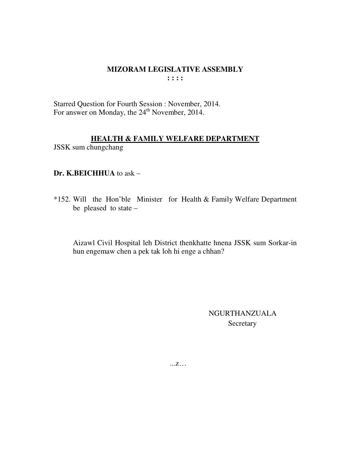Starred Question for Fourth Session : November, 2014. For answer on Monday, the 24<sup>th</sup> November, 2014.

#### **HEALTH & FAMILY WELFARE DEPARTMENT**

JSSK sum chungchang

#### Dr. K.BEICHHUA to ask -

\*152. Will the Hon'ble Minister for Health & Family Welfare Department be pleased to state  $-$ 

Aizawl Civil Hospital leh District thenkhatte hnena JSSK sum Sorkar-in hun engemaw chen a pek tak loh hi enge a chhan?

> **NGURTHANZUALA** Secretary

 $\dots Z \dots$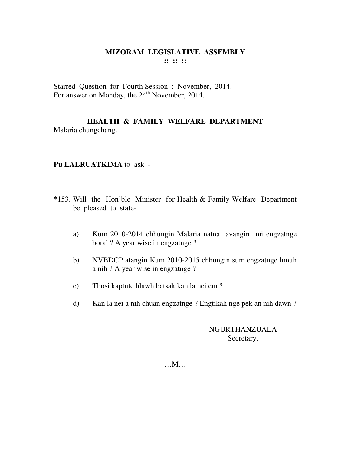Starred Question for Fourth Session : November, 2014. For answer on Monday, the 24<sup>th</sup> November, 2014.

## **HEALTH & FAMILY WELFARE DEPARTMENT** Malaria chungchang.

## **Pu LALRUATKIMA** to ask -

- \*153. Will the Hon'ble Minister for Health & Family Welfare Department be pleased to state
	- a) Kum 2010-2014 chhungin Malaria natna avangin mi engzatnge boral ? A year wise in engzatnge ?
	- b) NVBDCP atangin Kum 2010-2015 chhungin sum engzatnge hmuh a nih ? A year wise in engzatnge ?
	- c) Thosi kaptute hlawh batsak kan la nei em ?
	- d) Kan la nei a nih chuan engzatnge ? Engtikah nge pek an nih dawn ?

# NGURTHANZUALA Secretary.

…M…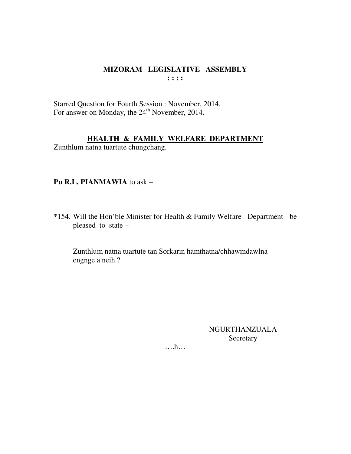Starred Question for Fourth Session : November, 2014. For answer on Monday, the  $24<sup>th</sup>$  November, 2014.

## **HEALTH & FAMILY WELFARE DEPARTMENT**

Zunthlum natna tuartute chungchang.

## **Pu R.L. PIANMAWIA** to ask –

\*154. Will the Hon'ble Minister for Health & Family Welfare Department be pleased to state –

 Zunthlum natna tuartute tan Sorkarin hamthatna/chhawmdawlna engnge a neih ?

> NGURTHANZUALA Secretary

….h…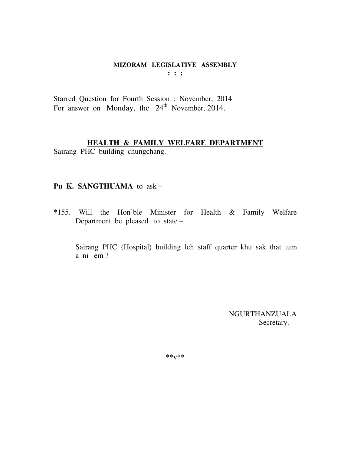Starred Question for Fourth Session : November, 2014 For answer on Monday, the  $24<sup>th</sup>$  November, 2014.

# **HEALTH & FAMILY WELFARE DEPARTMENT**

Sairang PHC building chungchang.

## **Pu K. SANGTHUAMA** to ask –

\*155. Will the Hon'ble Minister for Health & Family Welfare Department be pleased to state –

 Sairang PHC (Hospital) building leh staff quarter khu sak that tum a ni em ?

> NGURTHANZUALA Secretary.

 $***V***$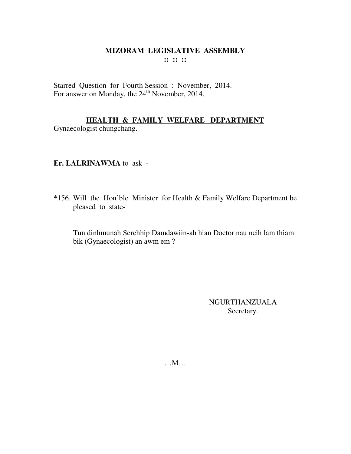Starred Question for Fourth Session : November, 2014. For answer on Monday, the 24<sup>th</sup> November, 2014.

# HEALTH & FAMILY WELFARE DEPARTMENT

Gynaecologist chungchang.

# Er. LALRINAWMA to ask -

\*156. Will the Hon'ble Minister for Health & Family Welfare Department be pleased to state-

Tun dinhmunah Serchhip Damdawiin-ah hian Doctor nau neih lam thiam bik (Gynaecologist) an awm em ?

> **NGURTHANZUALA** Secretary.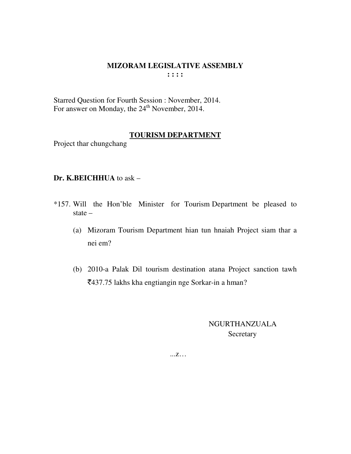Starred Question for Fourth Session : November, 2014. For answer on Monday, the 24<sup>th</sup> November, 2014.

#### **TOURISM DEPARTMENT**

Project thar chungchang

## **Dr. K.BEICHHUA** to ask –

- \*157. Will the Hon'ble Minister for Tourism Department be pleased to state –
	- (a) Mizoram Tourism Department hian tun hnaiah Project siam thar a nei em?
	- (b) 2010-a Palak Dil tourism destination atana Project sanction tawh `437.75 lakhs kha engtiangin nge Sorkar-in a hman?

 NGURTHANZUALA Secretary

...z…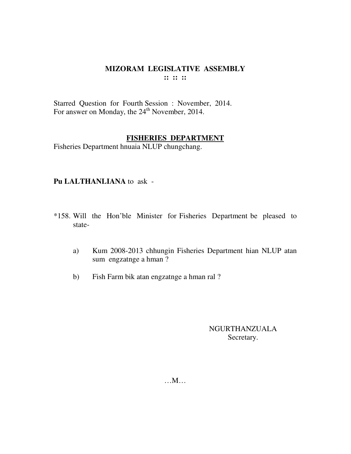Starred Question for Fourth Session: November, 2014. For answer on Monday, the 24<sup>th</sup> November, 2014.

#### **FISHERIES DEPARTMENT**

Fisheries Department hnuaia NLUP chungchang.

## Pu LALTHANLIANA to ask -

- \*158. Will the Hon'ble Minister for Fisheries Department be pleased to state-
	- Kum 2008-2013 chhungin Fisheries Department hian NLUP atan a) sum engzatnge a hman?
	- Fish Farm bik atan engzatnge a hman ral?  $b)$

# **NGURTHANZUALA** Secretary.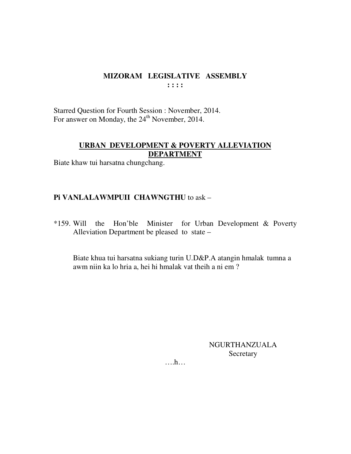Starred Question for Fourth Session : November, 2014. For answer on Monday, the 24<sup>th</sup> November, 2014.

# **URBAN DEVELOPMENT & POVERTY ALLEVIATION DEPARTMENT**

Biate khaw tui harsatna chungchang.

# Pi VANLALAWMPUII CHAWNGTHU to ask -

\*159. Will the Hon'ble Minister for Urban Development & Poverty Alleviation Department be pleased to state -

Biate khua tui harsatna sukiang turin U.D&P.A atangin hmalak tumna a awm niin ka lo hria a, hei hi hmalak vat theih a ni em?

> **NGURTHANZUALA** Secretary

 $\dots$ ...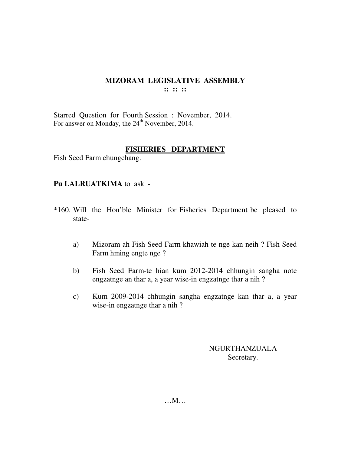Starred Question for Fourth Session : November, 2014. For answer on Monday, the 24<sup>th</sup> November, 2014.

## **FISHERIES DEPARTMENT**

Fish Seed Farm chungchang.

## **Pu LALRUATKIMA** to ask -

- \*160. Will the Hon'ble Minister for Fisheries Department be pleased to state
	- a) Mizoram ah Fish Seed Farm khawiah te nge kan neih ? Fish Seed Farm hming engte nge ?
	- b) Fish Seed Farm-te hian kum 2012-2014 chhungin sangha note engzatnge an thar a, a year wise-in engzatnge thar a nih ?
	- c) Kum 2009-2014 chhungin sangha engzatnge kan thar a, a year wise-in engzatnge thar a nih ?

NGURTHANZUALA Secretary.

…M…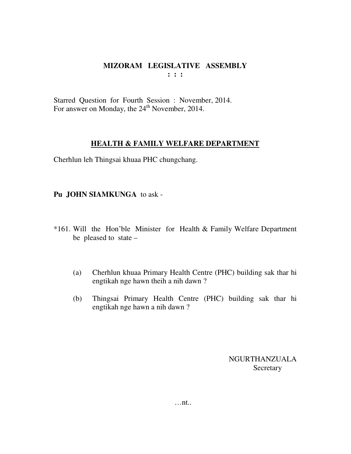Starred Question for Fourth Session : November, 2014. For answer on Monday, the 24<sup>th</sup> November, 2014.

## **HEALTH & FAMILY WELFARE DEPARTMENT**

Cherhlun leh Thingsai khuaa PHC chungchang.

## **Pu JOHN SIAMKUNGA** to ask -

- \*161. Will the Hon'ble Minister for Health & Family Welfare Department be pleased to state –
	- (a) Cherhlun khuaa Primary Health Centre (PHC) building sak thar hi engtikah nge hawn theih a nih dawn ?
	- (b) Thingsai Primary Health Centre (PHC) building sak thar hi engtikah nge hawn a nih dawn ?

NGURTHANZUALA **Secretary**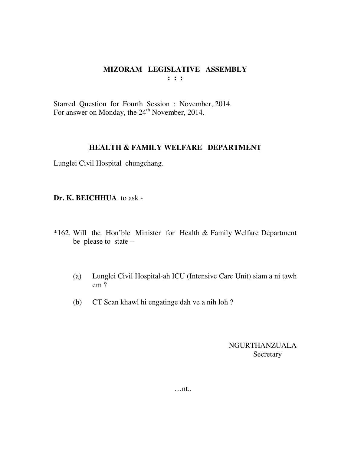Starred Question for Fourth Session : November, 2014. For answer on Monday, the 24<sup>th</sup> November, 2014.

#### **HEALTH & FAMILY WELFARE DEPARTMENT**

Lunglei Civil Hospital chungchang.

**Dr. K. BEICHHUA** to ask -

- \*162. Will the Hon'ble Minister for Health & Family Welfare Department be please to state –
	- (a) Lunglei Civil Hospital-ah ICU (Intensive Care Unit) siam a ni tawh em ?
	- (b) CT Scan khawl hi engatinge dah ve a nih loh ?

NGURTHANZUALA Secretary